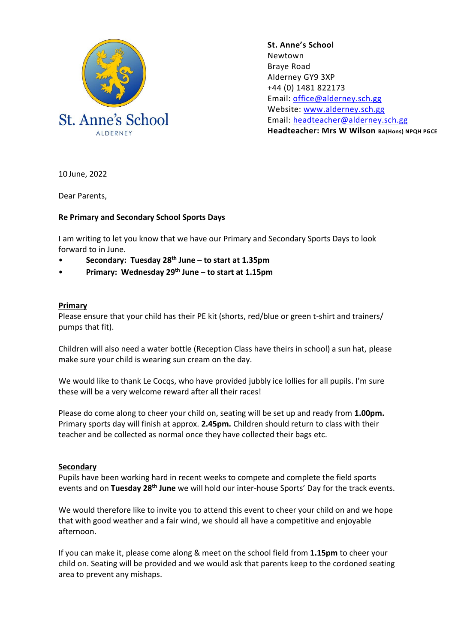

**St. Anne's School**  Newtown Braye Road Alderney GY9 3XP +44 (0) 1481 822173 Email: [office@alderney.sch.gg](mailto:office@alderney.sch.gg) Website: [www.alderney.sch.gg](http://www.alderney.sch.gg/) Email: [headteacher@alderney.sch.gg](mailto:headteacher@alderney.sch.gg) **Headteacher: Mrs W Wilson BA(Hons) NPQH PGCE**

10 June, 2022

Dear Parents,

## **Re Primary and Secondary School Sports Days**

I am writing to let you know that we have our Primary and Secondary Sports Days to look forward to in June.

- **Secondary: Tuesday 28th June – to start at 1.35pm**
- **Primary: Wednesday 29th June – to start at 1.15pm**

## **Primary**

Please ensure that your child has their PE kit (shorts, red/blue or green t-shirt and trainers/ pumps that fit).

Children will also need a water bottle (Reception Class have theirs in school) a sun hat, please make sure your child is wearing sun cream on the day.

We would like to thank Le Cocqs, who have provided jubbly ice lollies for all pupils. I'm sure these will be a very welcome reward after all their races!

Please do come along to cheer your child on, seating will be set up and ready from **1.00pm.**  Primary sports day will finish at approx. **2.45pm.** Children should return to class with their teacher and be collected as normal once they have collected their bags etc.

## **Secondary**

Pupils have been working hard in recent weeks to compete and complete the field sports events and on **Tuesday 28th June** we will hold our inter-house Sports' Day for the track events.

We would therefore like to invite you to attend this event to cheer your child on and we hope that with good weather and a fair wind, we should all have a competitive and enjoyable afternoon.

If you can make it, please come along & meet on the school field from **1.15pm** to cheer your child on. Seating will be provided and we would ask that parents keep to the cordoned seating area to prevent any mishaps.